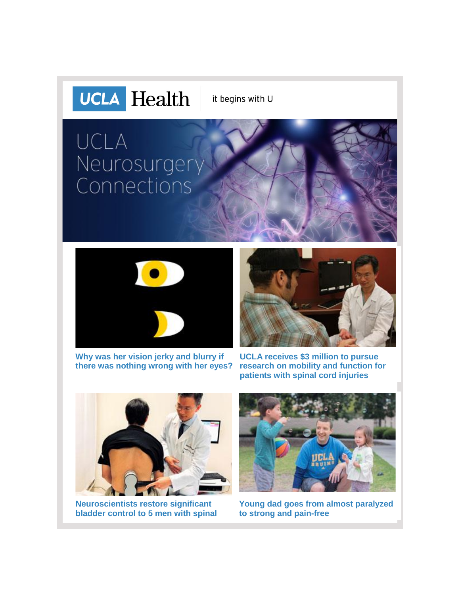

it begins with U

# UCLA Neurosurgery<br>Connections



**[Why was her vision jerky and blurry if](http://r20.rs6.net/tn.jsp?f=001DNV01WNwbLstnCZQ7_bNZBaSsrzD3mcPsMUGpJUnTGHS6WawH9Xsgl27ZyGwTjnSq6bbRYkVRXiOz7CvwjXZVPeNaAdmuBH4DIjRaJ8KpyMlN5el7exg9EPyTVPHKYZf1f-sGtB_5x1_cHNVsAL_0nwafSTdTEy_TMktLSxlYa5cVhYsWJIDBrWiH7BTi1XNfh3p9GMg20c-vNOQybS9bICpR3zFanalX0X0-HFp9bZG-vjw463B8qgtKT5PiQ-HQfrY3DoY77x0kzT4mNkDiWDtIBCGPz_YIcGxCdj5BiJYJclUFcjcij7u-G0ZSz_J&c=cjw7RruMpSNi4FDlR9JatCcrtT-oXTpqHrL5XXnpgtBK07i9sR-p6Q==&ch=L3Y5HWECxZl0bOJBiGcOOaecscdNbjk54y901-pPO0eCzaKK9VeUgQ==)  [there was nothing wrong with her eyes?](http://r20.rs6.net/tn.jsp?f=001DNV01WNwbLstnCZQ7_bNZBaSsrzD3mcPsMUGpJUnTGHS6WawH9Xsgl27ZyGwTjnSq6bbRYkVRXiOz7CvwjXZVPeNaAdmuBH4DIjRaJ8KpyMlN5el7exg9EPyTVPHKYZf1f-sGtB_5x1_cHNVsAL_0nwafSTdTEy_TMktLSxlYa5cVhYsWJIDBrWiH7BTi1XNfh3p9GMg20c-vNOQybS9bICpR3zFanalX0X0-HFp9bZG-vjw463B8qgtKT5PiQ-HQfrY3DoY77x0kzT4mNkDiWDtIBCGPz_YIcGxCdj5BiJYJclUFcjcij7u-G0ZSz_J&c=cjw7RruMpSNi4FDlR9JatCcrtT-oXTpqHrL5XXnpgtBK07i9sR-p6Q==&ch=L3Y5HWECxZl0bOJBiGcOOaecscdNbjk54y901-pPO0eCzaKK9VeUgQ==)**



**[UCLA receives \\$3 million to pursue](http://r20.rs6.net/tn.jsp?f=001DNV01WNwbLstnCZQ7_bNZBaSsrzD3mcPsMUGpJUnTGHS6WawH9Xsgl27ZyGwTjnShAkIexYSJRnkerywuPkCrscy6WAqAjNQWh8Fl600B6gV_eReHyIZNVMcCg8qSRn1TDiKvw9dvgaaxPqRG4qkXrOSKhX5POpcYdWfM1ifeyYZpEpwJQnnZARTXtSvIgWqSNPgOyK9YgMvHPkFgAt-Uwu2KtznqjrRthdJotR-AWVUSV9Pql3rTjnVfw1EsEyU6yEsMuS7rUU5_ociqIO4gQDTOsWNrX9wuAzdNlkqRezFKJCgaP5bF12UTmYZ3mM2&c=cjw7RruMpSNi4FDlR9JatCcrtT-oXTpqHrL5XXnpgtBK07i9sR-p6Q==&ch=L3Y5HWECxZl0bOJBiGcOOaecscdNbjk54y901-pPO0eCzaKK9VeUgQ==)  [research on mobility and function for](http://r20.rs6.net/tn.jsp?f=001DNV01WNwbLstnCZQ7_bNZBaSsrzD3mcPsMUGpJUnTGHS6WawH9Xsgl27ZyGwTjnShAkIexYSJRnkerywuPkCrscy6WAqAjNQWh8Fl600B6gV_eReHyIZNVMcCg8qSRn1TDiKvw9dvgaaxPqRG4qkXrOSKhX5POpcYdWfM1ifeyYZpEpwJQnnZARTXtSvIgWqSNPgOyK9YgMvHPkFgAt-Uwu2KtznqjrRthdJotR-AWVUSV9Pql3rTjnVfw1EsEyU6yEsMuS7rUU5_ociqIO4gQDTOsWNrX9wuAzdNlkqRezFKJCgaP5bF12UTmYZ3mM2&c=cjw7RruMpSNi4FDlR9JatCcrtT-oXTpqHrL5XXnpgtBK07i9sR-p6Q==&ch=L3Y5HWECxZl0bOJBiGcOOaecscdNbjk54y901-pPO0eCzaKK9VeUgQ==)  [patients with spinal cord injuries](http://r20.rs6.net/tn.jsp?f=001DNV01WNwbLstnCZQ7_bNZBaSsrzD3mcPsMUGpJUnTGHS6WawH9Xsgl27ZyGwTjnShAkIexYSJRnkerywuPkCrscy6WAqAjNQWh8Fl600B6gV_eReHyIZNVMcCg8qSRn1TDiKvw9dvgaaxPqRG4qkXrOSKhX5POpcYdWfM1ifeyYZpEpwJQnnZARTXtSvIgWqSNPgOyK9YgMvHPkFgAt-Uwu2KtznqjrRthdJotR-AWVUSV9Pql3rTjnVfw1EsEyU6yEsMuS7rUU5_ociqIO4gQDTOsWNrX9wuAzdNlkqRezFKJCgaP5bF12UTmYZ3mM2&c=cjw7RruMpSNi4FDlR9JatCcrtT-oXTpqHrL5XXnpgtBK07i9sR-p6Q==&ch=L3Y5HWECxZl0bOJBiGcOOaecscdNbjk54y901-pPO0eCzaKK9VeUgQ==)**



**[Neuroscientists restore significant](http://r20.rs6.net/tn.jsp?f=001DNV01WNwbLstnCZQ7_bNZBaSsrzD3mcPsMUGpJUnTGHS6WawH9Xsgl27ZyGwTjnSiuWadAVmi6EHxzYltQrsJ4D34C_qXvPbpngRGymtQ_HYh2CNv1TKEjqbcIf7mSLo_TUORFSvOMOscDxy0HV1FzzZYXRiFbh91XaZ4eHqckOND3P199xgZBLhAWpikea_8WlRCfCZDLVQmBF69GoZ5hmO84C7QGXPydz416RpDKsOZAnduPQqJ0on5M0BdRXJrqIO8LLOOKzxuIqvBGooDdn5Ry_FRPBc&c=cjw7RruMpSNi4FDlR9JatCcrtT-oXTpqHrL5XXnpgtBK07i9sR-p6Q==&ch=L3Y5HWECxZl0bOJBiGcOOaecscdNbjk54y901-pPO0eCzaKK9VeUgQ==)  [bladder control to 5 men with spinal](http://r20.rs6.net/tn.jsp?f=001DNV01WNwbLstnCZQ7_bNZBaSsrzD3mcPsMUGpJUnTGHS6WawH9Xsgl27ZyGwTjnSiuWadAVmi6EHxzYltQrsJ4D34C_qXvPbpngRGymtQ_HYh2CNv1TKEjqbcIf7mSLo_TUORFSvOMOscDxy0HV1FzzZYXRiFbh91XaZ4eHqckOND3P199xgZBLhAWpikea_8WlRCfCZDLVQmBF69GoZ5hmO84C7QGXPydz416RpDKsOZAnduPQqJ0on5M0BdRXJrqIO8LLOOKzxuIqvBGooDdn5Ry_FRPBc&c=cjw7RruMpSNi4FDlR9JatCcrtT-oXTpqHrL5XXnpgtBK07i9sR-p6Q==&ch=L3Y5HWECxZl0bOJBiGcOOaecscdNbjk54y901-pPO0eCzaKK9VeUgQ==)** 



**[Young dad goes from almost paralyzed](http://r20.rs6.net/tn.jsp?f=001DNV01WNwbLstnCZQ7_bNZBaSsrzD3mcPsMUGpJUnTGHS6WawH9Xsgl27ZyGwTjnS5-Yh3VVVQ8NRUvkDHxkttOZpCa0lR147vCYuZ7uW3yOQD_Qd1n0EkGVJyuNhcJw-lUFx5BE39wd_IF9mFyNvAUbGSKbUdDhECVnGlLysWNFg6Q8NUxv8I9Sa40W9osHDGtUVHs1qX3B2mk3AvNo_EH3Qv6awbchSIA6DLYIYrf483EN8wzZMzvv54tY1qeOtUKiujGSOfrc=&c=cjw7RruMpSNi4FDlR9JatCcrtT-oXTpqHrL5XXnpgtBK07i9sR-p6Q==&ch=L3Y5HWECxZl0bOJBiGcOOaecscdNbjk54y901-pPO0eCzaKK9VeUgQ==)  [to strong and pain-free](http://r20.rs6.net/tn.jsp?f=001DNV01WNwbLstnCZQ7_bNZBaSsrzD3mcPsMUGpJUnTGHS6WawH9Xsgl27ZyGwTjnS5-Yh3VVVQ8NRUvkDHxkttOZpCa0lR147vCYuZ7uW3yOQD_Qd1n0EkGVJyuNhcJw-lUFx5BE39wd_IF9mFyNvAUbGSKbUdDhECVnGlLysWNFg6Q8NUxv8I9Sa40W9osHDGtUVHs1qX3B2mk3AvNo_EH3Qv6awbchSIA6DLYIYrf483EN8wzZMzvv54tY1qeOtUKiujGSOfrc=&c=cjw7RruMpSNi4FDlR9JatCcrtT-oXTpqHrL5XXnpgtBK07i9sR-p6Q==&ch=L3Y5HWECxZl0bOJBiGcOOaecscdNbjk54y901-pPO0eCzaKK9VeUgQ==)**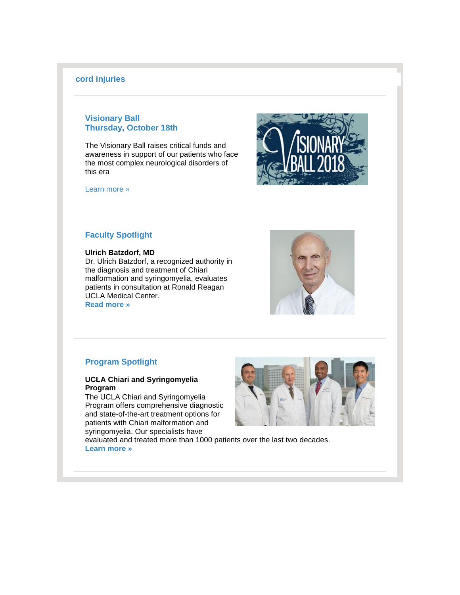#### **[cord injuries](http://r20.rs6.net/tn.jsp?f=001DNV01WNwbLstnCZQ7_bNZBaSsrzD3mcPsMUGpJUnTGHS6WawH9Xsgl27ZyGwTjnSiuWadAVmi6EHxzYltQrsJ4D34C_qXvPbpngRGymtQ_HYh2CNv1TKEjqbcIf7mSLo_TUORFSvOMOscDxy0HV1FzzZYXRiFbh91XaZ4eHqckOND3P199xgZBLhAWpikea_8WlRCfCZDLVQmBF69GoZ5hmO84C7QGXPydz416RpDKsOZAnduPQqJ0on5M0BdRXJrqIO8LLOOKzxuIqvBGooDdn5Ry_FRPBc&c=cjw7RruMpSNi4FDlR9JatCcrtT-oXTpqHrL5XXnpgtBK07i9sR-p6Q==&ch=L3Y5HWECxZl0bOJBiGcOOaecscdNbjk54y901-pPO0eCzaKK9VeUgQ==)**

#### **Visionary Ball Thursday, October 18th**

The Visionary Ball raises critical funds and awareness in support of our patients who face the most complex neurological disorders of this era

[Learn more »](http://r20.rs6.net/tn.jsp?f=001DNV01WNwbLstnCZQ7_bNZBaSsrzD3mcPsMUGpJUnTGHS6WawH9XsglWLbutqTmevqMuF02gAqazZIcC8N3dPIwah3zde9Av1aNV2jknVV41AOgorWxi0gHKJ6tBd5yFAwvvAtCTIw4fIFFD8MqQlMRi4rI0XB94rmEl0A01xzMImsiyHiT7u73LC-mjesfCZ31IsymolGXc=&c=cjw7RruMpSNi4FDlR9JatCcrtT-oXTpqHrL5XXnpgtBK07i9sR-p6Q==&ch=L3Y5HWECxZl0bOJBiGcOOaecscdNbjk54y901-pPO0eCzaKK9VeUgQ==)



#### **Faculty Spotlight**

#### **Ulrich Batzdorf, MD**

Dr. Ulrich Batzdorf, a recognized authority in the diagnosis and treatment of Chiari malformation and syringomyelia, evaluates patients in consultation at Ronald Reagan UCLA Medical Center. **[Read more »](http://r20.rs6.net/tn.jsp?f=001DNV01WNwbLstnCZQ7_bNZBaSsrzD3mcPsMUGpJUnTGHS6WawH9Xsgl27ZyGwTjnS6WMhQ7Wd5lwrjfBUzkruuMTuscT-RZCDvDDEzBnPgQYYPTUyNh0zP_ql9m8qyhUfpQ104WslIioRslu-yXiGD0np2KUEWC8JvSalYYg27YDjjGBaF4QvwvpND3AdrOdCOoJsmvoVHCI=&c=cjw7RruMpSNi4FDlR9JatCcrtT-oXTpqHrL5XXnpgtBK07i9sR-p6Q==&ch=L3Y5HWECxZl0bOJBiGcOOaecscdNbjk54y901-pPO0eCzaKK9VeUgQ==)**



#### **Program Spotlight**

#### **UCLA Chiari and Syringomyelia Program**

The UCLA Chiari and Syringomyelia Program offers comprehensive diagnostic and state-of-the-art treatment options for patients with Chiari malformation and syringomyelia. Our specialists have



evaluated and treated more than 1000 patients over the last two decades. **[Learn more »](http://r20.rs6.net/tn.jsp?f=001DNV01WNwbLstnCZQ7_bNZBaSsrzD3mcPsMUGpJUnTGHS6WawH9Xsgl27ZyGwTjnSxZTR-m2yba_C8lxbxKZPQbivaVCAoSb3RrpqXBKb6hGc5qA8rtOhHX07Tb1QaHZpQCwEGVbImqZJiVa5HatiXFYkXIkyPesiaQsliYMZ8ZAyIU-S6KeddMBzf0BZuVJBc_ZZSwekAlBIVqFpxPr5pG_jGNWTEnIF&c=cjw7RruMpSNi4FDlR9JatCcrtT-oXTpqHrL5XXnpgtBK07i9sR-p6Q==&ch=L3Y5HWECxZl0bOJBiGcOOaecscdNbjk54y901-pPO0eCzaKK9VeUgQ==)**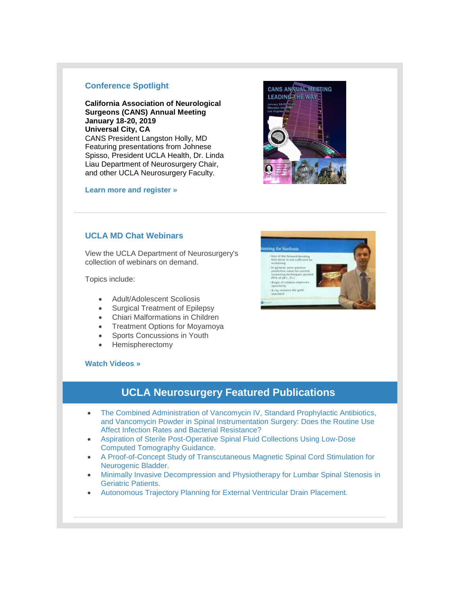#### **Conference Spotlight**

**California Association of Neurological Surgeons (CANS) Annual Meeting January 18-20, 2019 Universal City, CA** CANS President Langston Holly, MD Featuring presentations from Johnese Spisso, President UCLA Health, Dr. Linda Liau Department of Neurosurgery Chair, and other UCLA Neurosurgery Faculty.

**[Learn more and register »](http://r20.rs6.net/tn.jsp?f=001DNV01WNwbLstnCZQ7_bNZBaSsrzD3mcPsMUGpJUnTGHS6WawH9Xsgl27ZyGwTjnS2cgS6yos5jkH062GuSnkUDYFf4sNT-byIyY9cdMsEml6-LYOAOqie58vTRfKneXdVA3BhGdlbV5NwBzLCffAfbG7xbDZNFE6_YMvUmGJo-Osiqc8N0nXDKFpxDL1URok_duprsfNKbC9-moi8ftAbg==&c=cjw7RruMpSNi4FDlR9JatCcrtT-oXTpqHrL5XXnpgtBK07i9sR-p6Q==&ch=L3Y5HWECxZl0bOJBiGcOOaecscdNbjk54y901-pPO0eCzaKK9VeUgQ==)**

#### **UCLA MD Chat Webinars**

View the UCLA Department of Neurosurgery's collection of webinars on demand.

Topics include:

- Adult/Adolescent Scoliosis
- Surgical Treatment of Epilepsy
- Chiari Malformations in Children
- Treatment Options for Moyamoya
- Sports Concussions in Youth
- Hemispherectomy

#### **[Watch Videos »](http://r20.rs6.net/tn.jsp?f=001DNV01WNwbLstnCZQ7_bNZBaSsrzD3mcPsMUGpJUnTGHS6WawH9XsglMHFDtijt99dujnwgpO50gaYiCVkB6e41xKSw-rXazXnRftjtOHPSQgBaYkneSaF4jGxcxwmd2-NKQ9U7KnlxToMiz4_1etm4QKImoMwYD_sU_CaHnwMREFwn7WoPeGyddGhieLNs7ZmxQ-47qSstOjBLztWl4XgFizyKbHKc4m--u354ERInw=&c=cjw7RruMpSNi4FDlR9JatCcrtT-oXTpqHrL5XXnpgtBK07i9sR-p6Q==&ch=L3Y5HWECxZl0bOJBiGcOOaecscdNbjk54y901-pPO0eCzaKK9VeUgQ==)**

## **UCLA Neurosurgery Featured Publications**

- The Combined Administration of Vancomycin IV, Standard Prophylactic Antibiotics, [and Vancomycin Powder in Spinal Instrumentation Surgery: Does the Routine Use](http://r20.rs6.net/tn.jsp?f=001DNV01WNwbLstnCZQ7_bNZBaSsrzD3mcPsMUGpJUnTGHS6WawH9Xsgl27ZyGwTjnSbBwpFc80UrQwL1ldMR5-L6n-o5mo30SkxXyKX4mv0_fuK6f5DUnXyepoJ3f9NdcLH9R1ctyw8SaYlwmUl1oJ7S-aFIVJ4uoFTLVZBPgbL13VYZLni2tjWTaWz3u5Yl0hFWlP3fZu501brtrUGNTm8EEd286xzPxb5CjR_T6oQw_KzbtUaMT82KhqiEfeplGg&c=cjw7RruMpSNi4FDlR9JatCcrtT-oXTpqHrL5XXnpgtBK07i9sR-p6Q==&ch=L3Y5HWECxZl0bOJBiGcOOaecscdNbjk54y901-pPO0eCzaKK9VeUgQ==)  [Affect Infection Rates and Bacterial Resistance?](http://r20.rs6.net/tn.jsp?f=001DNV01WNwbLstnCZQ7_bNZBaSsrzD3mcPsMUGpJUnTGHS6WawH9Xsgl27ZyGwTjnSbBwpFc80UrQwL1ldMR5-L6n-o5mo30SkxXyKX4mv0_fuK6f5DUnXyepoJ3f9NdcLH9R1ctyw8SaYlwmUl1oJ7S-aFIVJ4uoFTLVZBPgbL13VYZLni2tjWTaWz3u5Yl0hFWlP3fZu501brtrUGNTm8EEd286xzPxb5CjR_T6oQw_KzbtUaMT82KhqiEfeplGg&c=cjw7RruMpSNi4FDlR9JatCcrtT-oXTpqHrL5XXnpgtBK07i9sR-p6Q==&ch=L3Y5HWECxZl0bOJBiGcOOaecscdNbjk54y901-pPO0eCzaKK9VeUgQ==)
- [Aspiration of Sterile Post-Operative Spinal Fluid Collections Using Low-Dose](http://r20.rs6.net/tn.jsp?f=001DNV01WNwbLstnCZQ7_bNZBaSsrzD3mcPsMUGpJUnTGHS6WawH9Xsgl27ZyGwTjnSwb4X9Hf7LEMgssJAJT4IrG7oiNflsWljYXgU8_gJcuvuQKE02BYHG_MCu8G7qiNOAApTNXX5-w3hHb6xHB3Ob-tiZdVzE6bstxxKQk9dhsb81dXmfkIX2Gv1MRLDU4xNC9ICfXHxCQUk00SFlDzUT-9vPwG5ts32XgGjUFbhk20=&c=cjw7RruMpSNi4FDlR9JatCcrtT-oXTpqHrL5XXnpgtBK07i9sR-p6Q==&ch=L3Y5HWECxZl0bOJBiGcOOaecscdNbjk54y901-pPO0eCzaKK9VeUgQ==)  [Computed Tomography Guidance.](http://r20.rs6.net/tn.jsp?f=001DNV01WNwbLstnCZQ7_bNZBaSsrzD3mcPsMUGpJUnTGHS6WawH9Xsgl27ZyGwTjnSwb4X9Hf7LEMgssJAJT4IrG7oiNflsWljYXgU8_gJcuvuQKE02BYHG_MCu8G7qiNOAApTNXX5-w3hHb6xHB3Ob-tiZdVzE6bstxxKQk9dhsb81dXmfkIX2Gv1MRLDU4xNC9ICfXHxCQUk00SFlDzUT-9vPwG5ts32XgGjUFbhk20=&c=cjw7RruMpSNi4FDlR9JatCcrtT-oXTpqHrL5XXnpgtBK07i9sR-p6Q==&ch=L3Y5HWECxZl0bOJBiGcOOaecscdNbjk54y901-pPO0eCzaKK9VeUgQ==)
- [A Proof-of-Concept Study of Transcutaneous Magnetic Spinal Cord Stimulation for](http://r20.rs6.net/tn.jsp?f=001DNV01WNwbLstnCZQ7_bNZBaSsrzD3mcPsMUGpJUnTGHS6WawH9Xsgl27ZyGwTjnSL9RDsW1ATaIYaib663jkfGSK7u0ihZIQ0C8UVLvQ93QKQ3ciLVPUYG8f5kRX9E-HE5qB83eh3o9X5lZNQypWq2x1-gKIZ8d8WQnwI-rpO6wrdYZbKHcUPXz51k-NW98nCnntI6GAJusnx6U8aaBx8KbeXzGOEC3mAe8PZoKRm1wiJSkwWZoT6pk84e1P828u4wUULyfSSCA=&c=cjw7RruMpSNi4FDlR9JatCcrtT-oXTpqHrL5XXnpgtBK07i9sR-p6Q==&ch=L3Y5HWECxZl0bOJBiGcOOaecscdNbjk54y901-pPO0eCzaKK9VeUgQ==)  [Neurogenic Bladder.](http://r20.rs6.net/tn.jsp?f=001DNV01WNwbLstnCZQ7_bNZBaSsrzD3mcPsMUGpJUnTGHS6WawH9Xsgl27ZyGwTjnSL9RDsW1ATaIYaib663jkfGSK7u0ihZIQ0C8UVLvQ93QKQ3ciLVPUYG8f5kRX9E-HE5qB83eh3o9X5lZNQypWq2x1-gKIZ8d8WQnwI-rpO6wrdYZbKHcUPXz51k-NW98nCnntI6GAJusnx6U8aaBx8KbeXzGOEC3mAe8PZoKRm1wiJSkwWZoT6pk84e1P828u4wUULyfSSCA=&c=cjw7RruMpSNi4FDlR9JatCcrtT-oXTpqHrL5XXnpgtBK07i9sR-p6Q==&ch=L3Y5HWECxZl0bOJBiGcOOaecscdNbjk54y901-pPO0eCzaKK9VeUgQ==)
- [Minimally Invasive Decompression and Physiotherapy for Lumbar Spinal Stenosis in](http://r20.rs6.net/tn.jsp?f=001DNV01WNwbLstnCZQ7_bNZBaSsrzD3mcPsMUGpJUnTGHS6WawH9Xsgl27ZyGwTjnS-ixabvPCq33nI2Yj-hbCS1vHXyB5cZ-yHq2o8Azt7P-xfztfzENlAqCNkymr-tepgfad1K6D1KLSAMRXU-rgty7160irx0jwegcWuJsi04e4YmNzrBlUKUkqfD04tsQK82VRn_ds3uiBF7lsPc2EbiQu5cjqdpGsATr4H1olOEM-5jWpdoboVAfqngEVAi7Pvi7JlA6oLAg=&c=cjw7RruMpSNi4FDlR9JatCcrtT-oXTpqHrL5XXnpgtBK07i9sR-p6Q==&ch=L3Y5HWECxZl0bOJBiGcOOaecscdNbjk54y901-pPO0eCzaKK9VeUgQ==)  [Geriatric Patients.](http://r20.rs6.net/tn.jsp?f=001DNV01WNwbLstnCZQ7_bNZBaSsrzD3mcPsMUGpJUnTGHS6WawH9Xsgl27ZyGwTjnS-ixabvPCq33nI2Yj-hbCS1vHXyB5cZ-yHq2o8Azt7P-xfztfzENlAqCNkymr-tepgfad1K6D1KLSAMRXU-rgty7160irx0jwegcWuJsi04e4YmNzrBlUKUkqfD04tsQK82VRn_ds3uiBF7lsPc2EbiQu5cjqdpGsATr4H1olOEM-5jWpdoboVAfqngEVAi7Pvi7JlA6oLAg=&c=cjw7RruMpSNi4FDlR9JatCcrtT-oXTpqHrL5XXnpgtBK07i9sR-p6Q==&ch=L3Y5HWECxZl0bOJBiGcOOaecscdNbjk54y901-pPO0eCzaKK9VeUgQ==)
- [Autonomous Trajectory Planning for External Ventricular Drain Placement.](http://r20.rs6.net/tn.jsp?f=001DNV01WNwbLstnCZQ7_bNZBaSsrzD3mcPsMUGpJUnTGHS6WawH9Xsgl27ZyGwTjnSEU_EfFQmED2VLdac4fg9qd2my4U5KecsjxGFcnDwiTpCfLHxrjeV7J4YepZyK-hDct-F1zY8KlBTgP3uUV7ak7US5E7vH-T49LPiqZVA77PCdW4N7PzoQdsqkCDv08lKe1V97Lr973v-jwnsKR90N2p0AZfd8qC3&c=cjw7RruMpSNi4FDlR9JatCcrtT-oXTpqHrL5XXnpgtBK07i9sR-p6Q==&ch=L3Y5HWECxZl0bOJBiGcOOaecscdNbjk54y901-pPO0eCzaKK9VeUgQ==)